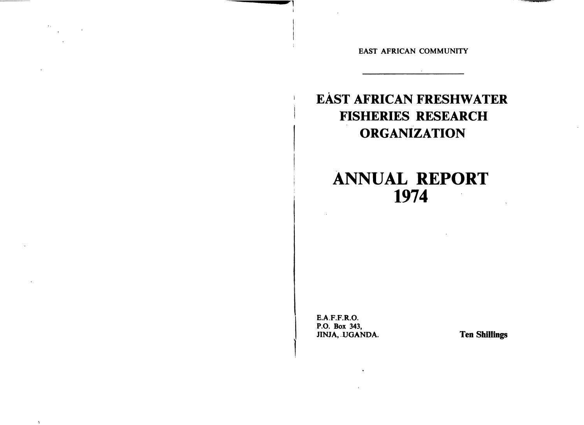EAST AFRICAN COMMUNITY

# **EAST AFRICAN FRESHWATER FISHERIES RESEARCH ORGANIZATION**

# **ANNUAL REPORT** 1974

**E.A.F.F.R.O.** P.O. Box 343, JINJA, UGANDA.

 $\Lambda_{\rm eff}$ 

 $\Delta$ 

**Ten Shillings**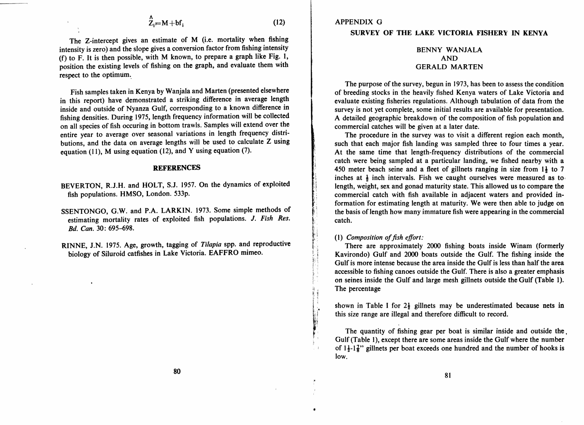$$
\Lambda_{Z_i} = M + bf_i \tag{12}
$$

The Z-intercept gives an estimate of M (i.e. mortality when fishing intensity is zero) and the slope gives a conversion factor from fishing intensity (f) to F. It is then possible, with M known, to prepare a graph like Fig. 1, position the existing levels of fishing on the graph, and evaluate them with respect to the optimum..

Fish samples taken in Kenya by Wanjala and Marten (presented elsewhere in this report) have demonstrated a striking difference in average length inside and outside of Nyanza Gulf, corresponding to a known difference in fishing densities. During 1975, length frequency information will be collected on all species of fish occuring in bottom trawls. Samples will extend over the entire year to average over seasonal variations in length frequency distributions, and the data on average lengths will be used to calculate Z using equation (11), M using equation (12), and Y using equation (7).

#### REFERENCES

- BEVERTON, R.J.H. and HOLT, S.J. 1957. On the dynamics of exploited fish populations. HMSO, London. 533p.
- SSENTONGO, G.W. and P.A. LARKIN. 1973. Some simple methods of estimating mortality rates of exploited fish populations. J. *Fish Res.*  Bd. *Can.* 30: 695-698.
- RINNE, J.N. 1975. Age, growth, tagging of *Tilapia* spp. and reproductive biology of Siluroid catfishes in Lake Victoria. EAFFRO mimeo.

### SURVEY OF THE LAKE VICTORIA FISHERY IN KENYA

## BENNY WANJALA AND GERALD MARTEN

The purpose of the survey, begun in 1973, has been to assess the condition of breeding stocks in the heavily fished Kenya waters of Lake Victoria and evaluate existing fisheries regulations. Although tabulation of data from the survey is not yet complete, some initial results are available for presentation. A detailed geographic breakdown of the composition of fish population and commercial catches will be given at a later date.

The procedure in the survey was to visit a different region each month, such that each major fish landing was sampled three to four times a year. At the same time that length-frequency distributions of the commercial catch were being sampled at a particular landing, we fished nearby with a 450 meter beach seine and a fleet of gillnets ranging in size from  $1\frac{1}{2}$  to 7 inches at  $\frac{1}{2}$  inch intervals. Fish we caught ourselves were measured as to length, weight, sex and gonad maturity state. This allowed us to compare the commercial catch with fish available in adjacent waters and provided information for estimating length at maturity. We were then able to judge on the basis of length how many immature fish were appearing in the commercial catch.

#### (1) Composition of fish effort:

•

There are approximately 2000 fishing boats inside Winam (formerly Kavirondo) Gulf and 2000 boats outside the Gulf. The fishing inside the Gulf is more intense because the area inside the Oulf is less than half the area accessible to fishing canoes outside the Gulf. There is also a greater emphasis on seines inside the Gulf and large mesh gillnets outside the Gulf (Table 1). The percentage

shown in Table I for  $2\frac{1}{2}$  gillnets may be underestimated because nets in this size range are illegal and therefore difficult to record.

The quantity of fishing gear per boat is similar inside and outside the. Gulf (Table I), except there are some areas inside the Gulf where the number of  $1\frac{1}{2}$ - $1\frac{7}{8}$ " gillnets per boat exceeds one hundred and the number of hooks is low.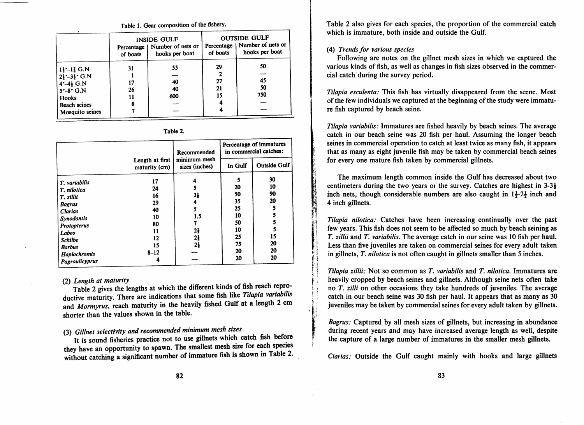#### Table 1. Gear composition of the fishery.

|                                      | of boats | <b>INSIDE GULF</b><br>Percentage   Number of nets or<br>hooks per boat | of boats | <b>OUTSIDE GULF</b><br>Percentage   Number of nets or<br>hooks per boat |
|--------------------------------------|----------|------------------------------------------------------------------------|----------|-------------------------------------------------------------------------|
| $1\frac{1}{2}$ –1 $\frac{7}{8}$ G.N  | 31       | 55                                                                     | 29       | 50                                                                      |
| $2\frac{1}{2}$ – 3 $\frac{1}{2}$ G.N |          |                                                                        | 2        |                                                                         |
| $4 - 4\frac{1}{2}$ G.N               | 17       | 40                                                                     | 27       | 45                                                                      |
| $5 - 8$ G.N                          | 26       | 40                                                                     | 21       | 50                                                                      |
| <b>Hooks</b>                         | 11       | 600                                                                    | 15       | 750                                                                     |
| <b>Beach seines</b>                  | 8        |                                                                        |          |                                                                         |
| Mosquito seines                      |          |                                                                        |          |                                                                         |

| ı<br><br> |
|-----------|
|-----------|

|                                |                                  | Recommended                    | Percentage of immatures<br>in commercial catches: |                     |
|--------------------------------|----------------------------------|--------------------------------|---------------------------------------------------|---------------------|
|                                | Length at first<br>maturity (cm) | minimum mesh<br>sizes (inches) | In Gulf                                           | <b>Outside Gulf</b> |
| T. variabilis                  | 17                               | 4                              |                                                   | 30                  |
| T. nilotica                    | 24                               |                                | 20                                                | 10                  |
| T. zillii                      | 16                               | 3ł                             | 50                                                | 90                  |
| <b>Bagrus</b>                  | 29                               | 4                              | 35                                                | 20                  |
| <b>Clarias</b>                 | 40                               | 5                              | 25                                                |                     |
| Synodontis                     | 10                               | 1.5                            | 10                                                |                     |
| Protopterus                    | 80                               |                                | 50                                                |                     |
| Labeo                          | 11                               | $2\frac{1}{2}$                 | 10                                                |                     |
| <b>Schilbe</b>                 | 12                               | $2\frac{1}{2}$                 | 25                                                | 15                  |
| <b>Barbus</b>                  | 15                               | $2\frac{1}{2}$                 | 75                                                | 20                  |
|                                | $8 - 12$                         |                                | 20                                                | 20                  |
| Haplochromis<br>Pagraulicyprus |                                  |                                | 20                                                | 20                  |

#### *(2) Length at maturity*

Table 2 gives the lengths at which the different kinds of fish reach reproductive maturity. There are indications that some fish like *Tilapia variabilis;*  and *Mormyrus,* reach maturity in the heavily fished Gulf at a length 2 cm shorter than the values shown in the table.

# *(3) Gillnet selectivity and recommended minimum mesh sizes*

It is sound fisheries practice not to use gillnets which catch fish before they have an opportunity to spawn. The smallest mesh size for each species without catching a significant number of immature fish is shown in Table 2.

Table 2 also gives for each species, the proportion of the commercial catch which is immature, both inside and outside the Gulf.

### *(4) Trends for various species*

Following are notes on the gillnet mesh sizes in which we captured the various kinds of fish, as well as changes in fish sizes observed in the commercial catch'during the survey period.

*Tilapia esculenta:* This fish has virtually disappeared from the scene. Most of the few individuals we captured at the beginning of the study were immature fish captured by beach seine.

*Tilapia variabilis:* Immatures are fished heavily by beach seines. The average catch in our beach seine was 20 fish per haul. Assuming the longer beach seines in commercial operation to catch at least twice as many fish, it appears that as many as eight juvenile fish may be taken by commercial beach seines for every one mature fish taken by commercial gillnets.

The maximum length common inside the Gulf has decreased about two centimeters during the two years or the survey. Catches are highest in  $3-3\frac{1}{2}$ inch nets, though considerable numbers are also caught in  $1\frac{1}{2}$ -2 $\frac{1}{2}$  inch and 4 inch gillnets.

*Tilapia nilotiea:* Catches have been increasing continually over the past few years. This fish does not seem to be affected so much by beach seining as *T. zillii* and *T. variabilis.* The average catch in our seine was 10 fish per haul. Less than five juveniles are taken on commercial seines for every adult taken in gillnets, *T. nilotiea* is not often caught in gillnets smaller than 5 inches.

*Tilapia zillii:* Not so common as *T. variabilis* and *T. nilotica.* Immatures are heavily cropped by beach seines and gillnets. Although seine nets often take no *T. zilli* on other occasions they take hundreds of juveniles. The average catch in our beach seine was 30 fish per haul. It appears that as many as 30 juveniles may be taken by commercial seines for every adult taken by gillnets.

*Bagrus:* Captured by all mesh sizes of gillnets, but increasing in abundance during recent years and may have increased average length as well, despite the capture of a large number of immatures in the smaller mesh gillnets.

*Clarias:* Outside the Gulf caught mainly with hooks and large gillnets